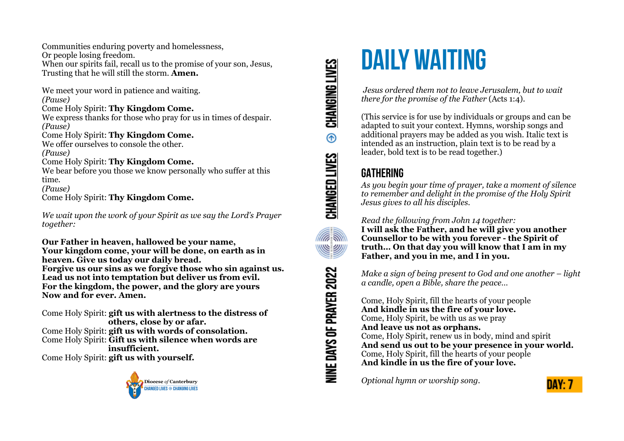Communities enduring poverty and homelessness, Or people losing freedom. When our spirits fail, recall us to the promise of your son, Jesus, Trusting that he will still the storm. **Amen.**

We meet your word in patience and waiting. *(Pause)* Come Holy Spirit: **Thy Kingdom Come.** We express thanks for those who pray for us in times of despair. *(Pause)* Come Holy Spirit: **Thy Kingdom Come.** We offer ourselves to console the other. *(Pause)* Come Holy Spirit: **Thy Kingdom Come.** We bear before you those we know personally who suffer at this time. *(Pause)* Come Holy Spirit: **Thy Kingdom Come.**

*We wait upon the work of your Spirit as we say the Lord's Prayer together:*

**Our Father in heaven, hallowed be your name, Your kingdom come, your will be done, on earth as in heaven. Give us today our daily bread. Forgive us our sins as we forgive those who sin against us. Lead us not into temptation but deliver us from evil. For the kingdom, the power, and the glory are yours Now and for ever. Amen.**

Come Holy Spirit: **gift us with alertness to the distress of others, close by or afar.** Come Holy Spirit: **gift us with words of consolation.** Come Holy Spirit: **Gift us with silence when words are insufficient.** Come Holy Spirit: **gift us with yourself.**



# CHANGING LIVES  $^{\circ}$ CHANGED LIVES **Alla SI** <u>WWW</u> NINE DAYS OF PRAYER 2022

## **DAILY WAITING**

 *Jesus ordered them not to leave Jerusalem, but to wait there for the promise of the Father* (Acts 1:4).

(This service is for use by individuals or groups and can be adapted to suit your context. Hymns, worship songs and additional prayers may be added as you wish. Italic text is intended as an instruction, plain text is to be read by a leader, bold text is to be read together.)

#### **GATHERING**

*As you begin your time of prayer, take a moment of silence to remember and delight in the promise of the Holy Spirit Jesus gives to all his disciples.*

*Read the following from John 14 together:* 

**I will ask the Father, and he will give you another Counsellor to be with you forever - the Spirit of truth… On that day you will know that I am in my Father, and you in me, and I in you.** 

*Make a sign of being present to God and one another – light a candle, open a Bible, share the peace…* 

Come, Holy Spirit, fill the hearts of your people **And kindle in us the fire of your love.**  Come, Holy Spirit, be with us as we pray **And leave us not as orphans.**  Come, Holy Spirit, renew us in body, mind and spirit **And send us out to be your presence in your world.**  Come, Holy Spirit, fill the hearts of your people **And kindle in us the fire of your love.** 

*Optional hymn or worship song.*